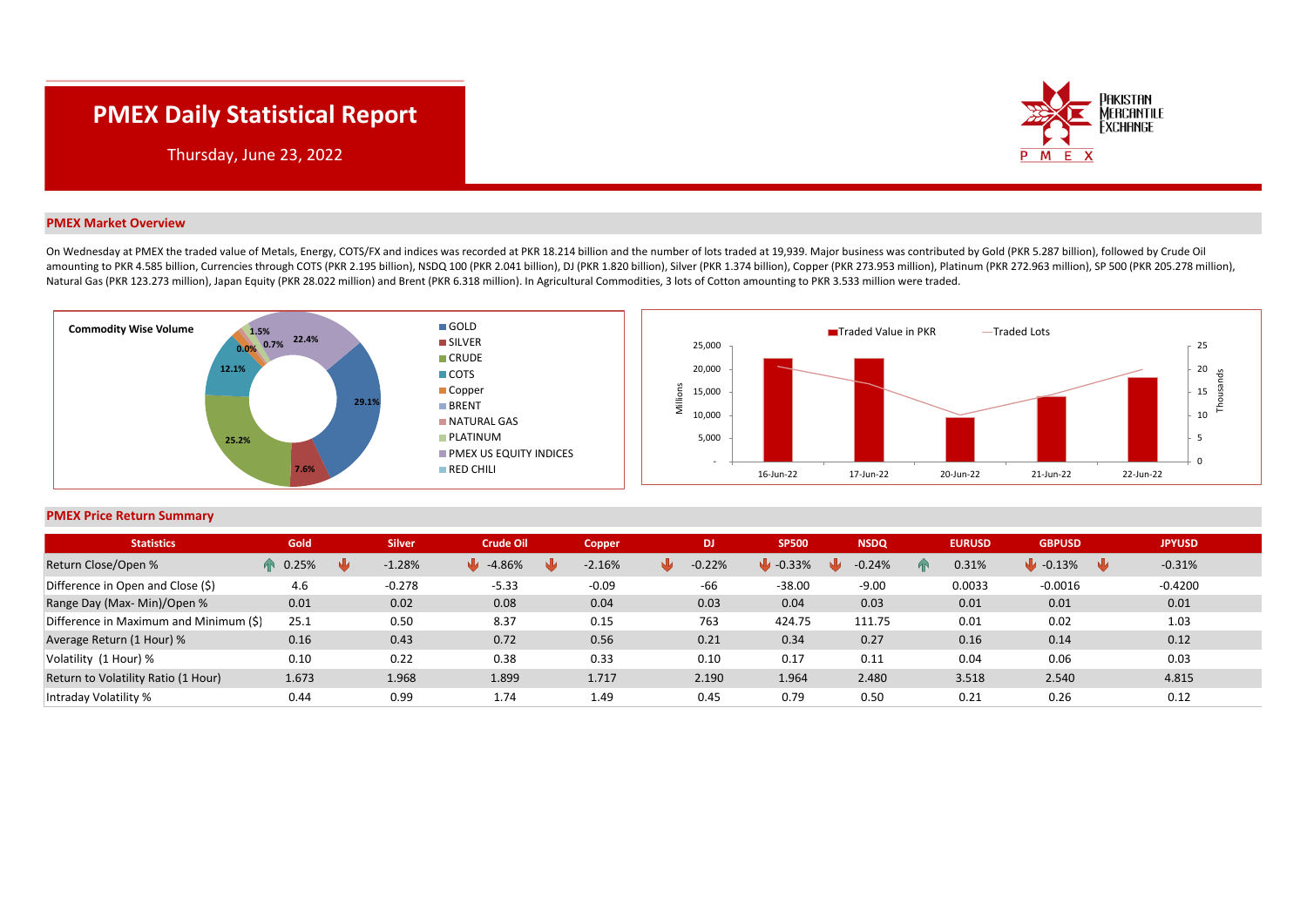## **PMEX Daily Statistical Report**



Thursday, June 23, 2022

## **PMEX Market Overview**

On Wednesday at PMEX the traded value of Metals, Energy, COTS/FX and indices was recorded at PKR 18.214 billion and the number of lots traded at 19.939. Maior business was contributed by Gold (PKR 5.287 billion), followed amounting to PKR 4.585 billion, Currencies through COTS (PKR 2.195 billion), NSDQ 100 (PKR 2.041 billion), DJ (PKR 1.820 billion), Silver (PKR 1.374 billion), Copper (PKR 273.953 million), Platinum (PKR 272.963 million), S Natural Gas (PKR 123.273 million), Japan Equity (PKR 28.022 million) and Brent (PKR 6.318 million). In Agricultural Commodities, 3 lots of Cotton amounting to PKR 3.533 million were traded.





## **PMEX Price Return Summary**

| <b>Statistics</b>                      | Gold         | <b>Silver</b> | <b>Crude Oil</b> | Copper   | DJ.                   | <b>SP500</b>   | <b>NSDQ</b> | <b>EURUSD</b> | <b>GBPUSD</b>                 | <b>JPYUSD</b> |
|----------------------------------------|--------------|---------------|------------------|----------|-----------------------|----------------|-------------|---------------|-------------------------------|---------------|
| Return Close/Open %                    | 0.25%<br>ИN. | $-1.28%$      | $-4.86%$<br>NИ   | $-2.16%$ | $-0.22%$<br><b>NM</b> | $-0.33%$<br>NЫ | $-0.24%$    | 0.31%         | $\bullet$ -0.13%<br><b>NL</b> | $-0.31%$      |
| Difference in Open and Close (\$)      | 4.6          | $-0.278$      | $-5.33$          | $-0.09$  | -66                   | $-38.00$       | $-9.00$     | 0.0033        | $-0.0016$                     | $-0.4200$     |
| Range Day (Max- Min)/Open %            | 0.01         | 0.02          | 0.08             | 0.04     | 0.03                  | 0.04           | 0.03        | 0.01          | 0.01                          | 0.01          |
| Difference in Maximum and Minimum (\$) | 25.1         | 0.50          | 8.37             | 0.15     | 763                   | 424.75         | 111.75      | 0.01          | 0.02                          | 1.03          |
| Average Return (1 Hour) %              | 0.16         | 0.43          | 0.72             | 0.56     | 0.21                  | 0.34           | 0.27        | 0.16          | 0.14                          | 0.12          |
| Volatility (1 Hour) %                  | 0.10         | 0.22          | 0.38             | 0.33     | 0.10                  | 0.17           | 0.11        | 0.04          | 0.06                          | 0.03          |
| Return to Volatility Ratio (1 Hour)    | 1.673        | 1.968         | 1.899            | 1.717    | 2.190                 | 1.964          | 2.480       | 3.518         | 2.540                         | 4.815         |
| Intraday Volatility %                  | 0.44         | 0.99          | 1.74             | 1.49     | 0.45                  | 0.79           | 0.50        | 0.21          | 0.26                          | 0.12          |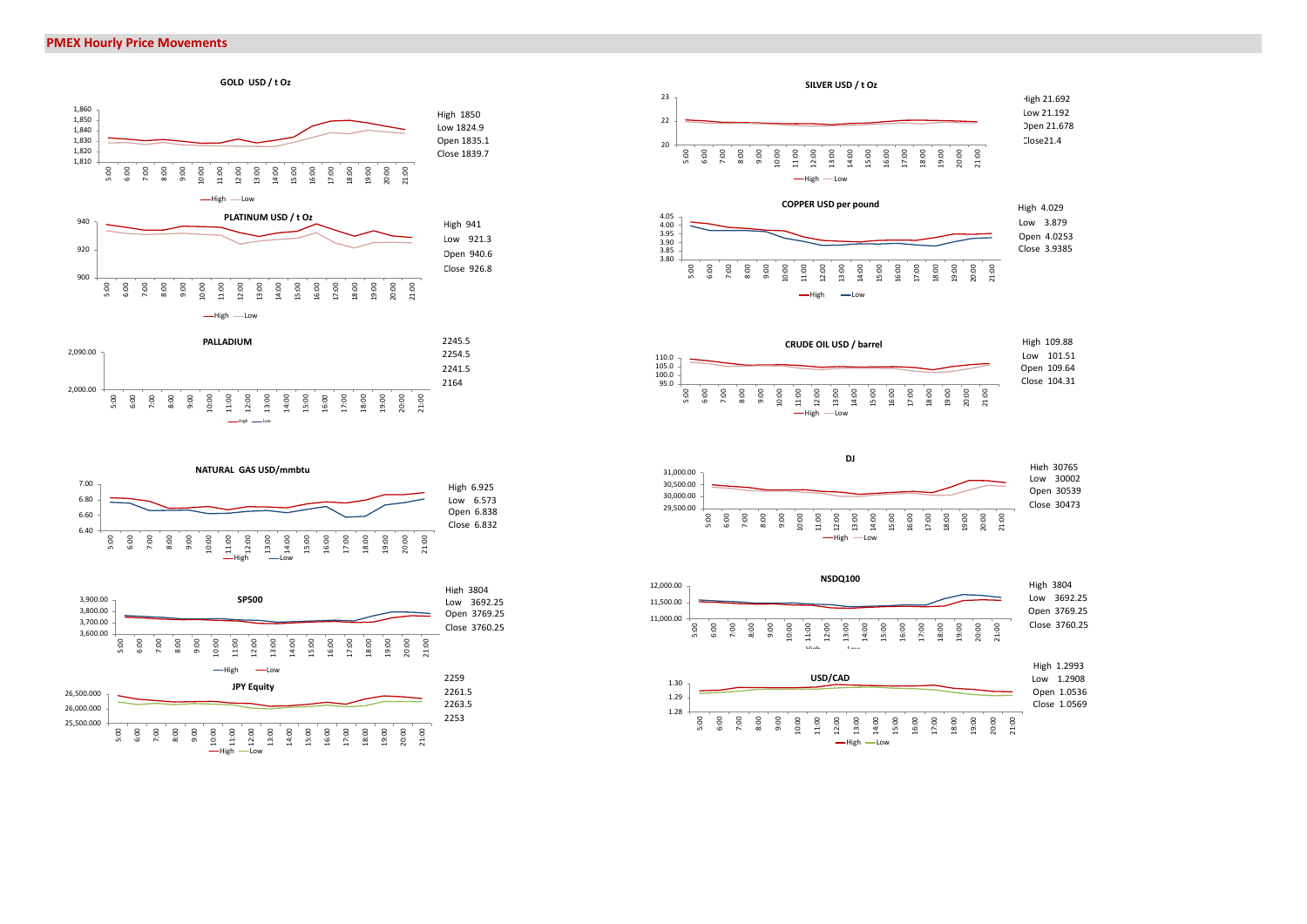



High —— Low















-High -Low

5:00 6:00 8:00 9:00 10:00 11:00 12:00 13:00 14:00 15:00 16:00